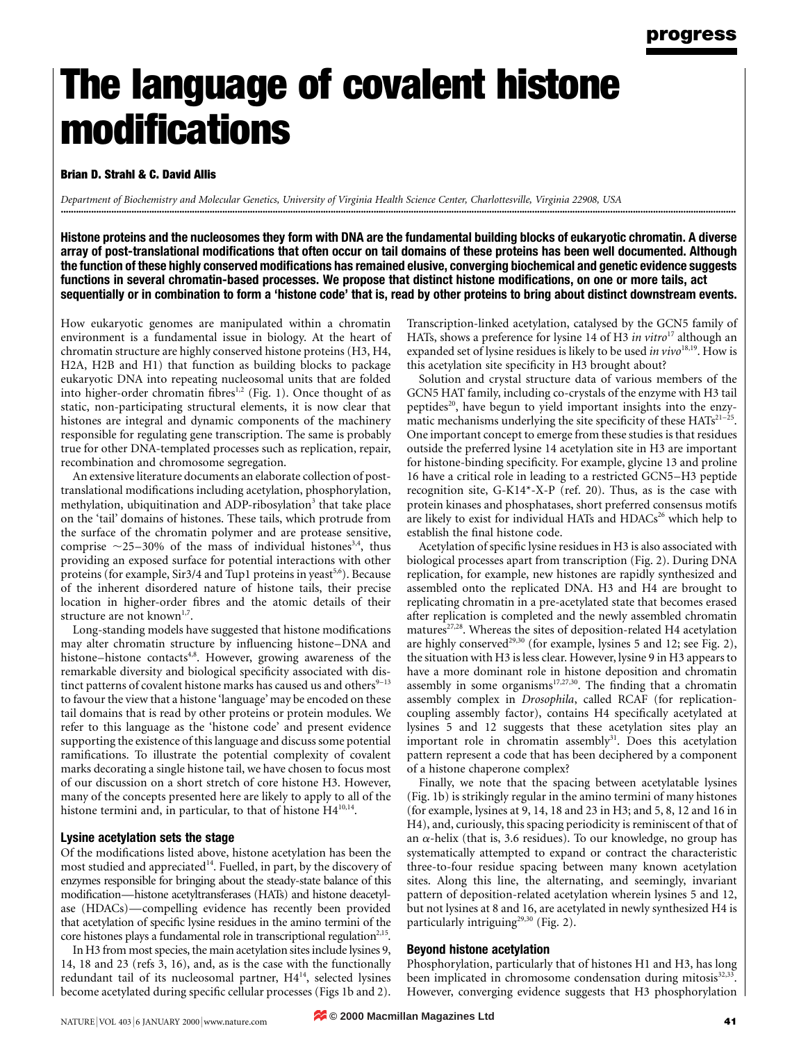# The language of covalent histone **modifications**

## Brian D. Strahl & C. David Allis

Department of Biochemistry and Molecular Genetics, University of Virginia Health Science Center, Charlottesville, Virginia 22908, USA ............................................................................................................................................................................................................................................................................

Histone proteins and the nucleosomes they form with DNA are the fundamental building blocks of eukaryotic chromatin. A diverse array of post-translational modifications that often occur on tail domains of these proteins has been well documented. Although the function of these highly conserved modifications has remained elusive, converging biochemical and genetic evidence suggests functions in several chromatin-based processes. We propose that distinct histone modifications, on one or more tails, act sequentially or in combination to form a 'histone code' that is, read by other proteins to bring about distinct downstream events.

How eukaryotic genomes are manipulated within a chromatin environment is a fundamental issue in biology. At the heart of chromatin structure are highly conserved histone proteins (H3, H4, H2A, H2B and H1) that function as building blocks to package eukaryotic DNA into repeating nucleosomal units that are folded into higher-order chromatin fibres<sup>1,2</sup> (Fig. 1). Once thought of as static, non-participating structural elements, it is now clear that histones are integral and dynamic components of the machinery responsible for regulating gene transcription. The same is probably true for other DNA-templated processes such as replication, repair, recombination and chromosome segregation.

An extensive literature documents an elaborate collection of posttranslational modifications including acetylation, phosphorylation, methylation, ubiquitination and ADP-ribosylation<sup>3</sup> that take place on the `tail' domains of histones. These tails, which protrude from the surface of the chromatin polymer and are protease sensitive, comprise  $\sim$ 25-30% of the mass of individual histones<sup>3,4</sup>, thus providing an exposed surface for potential interactions with other proteins (for example, Sir3/4 and Tup1 proteins in yeast<sup>5,6</sup>). Because of the inherent disordered nature of histone tails, their precise location in higher-order fibres and the atomic details of their structure are not known<sup>1,7</sup>.

Long-standing models have suggested that histone modifications may alter chromatin structure by influencing histone-DNA and histone-histone contacts<sup>4,8</sup>. However, growing awareness of the remarkable diversity and biological specificity associated with distinct patterns of covalent histone marks has caused us and others $9-13$ to favour the view that a histone 'language' may be encoded on these tail domains that is read by other proteins or protein modules. We refer to this language as the `histone code' and present evidence supporting the existence of this language and discuss some potential ramifications. To illustrate the potential complexity of covalent marks decorating a single histone tail, we have chosen to focus most of our discussion on a short stretch of core histone H3. However, many of the concepts presented here are likely to apply to all of the histone termini and, in particular, to that of histone H4<sup>10,14</sup>.

## Lysine acetylation sets the stage

Of the modifications listed above, histone acetylation has been the most studied and appreciated<sup>14</sup>. Fuelled, in part, by the discovery of enzymes responsible for bringing about the steady-state balance of this modification—histone acetyltransferases (HATs) and histone deacetylase (HDACs)—compelling evidence has recently been provided that acetylation of specific lysine residues in the amino termini of the core histones plays a fundamental role in transcriptional regulation<sup>2,15</sup>.

In H3 from most species, the main acetylation sites include lysines 9, 14, 18 and 23 (refs 3, 16), and, as is the case with the functionally redundant tail of its nucleosomal partner, H414, selected lysines become acetylated during specific cellular processes (Figs 1b and 2). Transcription-linked acetylation, catalysed by the GCN5 family of HATs, shows a preference for lysine 14 of H3 in vitro<sup>17</sup> although an expanded set of lysine residues is likely to be used in  $vivo^{18,19}$ . How is this acetylation site specificity in H3 brought about?

Solution and crystal structure data of various members of the GCN5 HAT family, including co-crystals of the enzyme with H3 tail peptides<sup>20</sup>, have begun to yield important insights into the enzymatic mechanisms underlying the site specificity of these  $HATs^{21-25}$ . One important concept to emerge from these studies is that residues outside the preferred lysine 14 acetylation site in H3 are important for histone-binding specificity. For example, glycine 13 and proline 16 have a critical role in leading to a restricted GCN5-H3 peptide recognition site, G-K14\*-X-P (ref. 20). Thus, as is the case with protein kinases and phosphatases, short preferred consensus motifs are likely to exist for individual HATs and HDACs<sup>26</sup> which help to establish the final histone code.

Acetylation of specific lysine residues in H3 is also associated with biological processes apart from transcription (Fig. 2). During DNA replication, for example, new histones are rapidly synthesized and assembled onto the replicated DNA. H3 and H4 are brought to replicating chromatin in a pre-acetylated state that becomes erased after replication is completed and the newly assembled chromatin matures<sup>27,28</sup>. Whereas the sites of deposition-related H4 acetylation are highly conserved<sup>29,30</sup> (for example, lysines 5 and 12; see Fig. 2), the situation with H3 is less clear. However, lysine 9 in H3 appears to have a more dominant role in histone deposition and chromatin assembly in some organisms $17,27,30$ . The finding that a chromatin assembly complex in Drosophila, called RCAF (for replicationcoupling assembly factor), contains H4 specifically acetylated at lysines 5 and 12 suggests that these acetylation sites play an important role in chromatin assembly<sup>31</sup>. Does this acetylation pattern represent a code that has been deciphered by a component of a histone chaperone complex?

Finally, we note that the spacing between acetylatable lysines (Fig. 1b) is strikingly regular in the amino termini of many histones (for example, lysines at 9, 14, 18 and 23 in H3; and 5, 8, 12 and 16 in H4), and, curiously, this spacing periodicity is reminiscent of that of an  $\alpha$ -helix (that is, 3.6 residues). To our knowledge, no group has systematically attempted to expand or contract the characteristic three-to-four residue spacing between many known acetylation sites. Along this line, the alternating, and seemingly, invariant pattern of deposition-related acetylation wherein lysines 5 and 12, but not lysines at 8 and 16, are acetylated in newly synthesized H4 is particularly intriguing<sup>29,30</sup> (Fig. 2).

## Beyond histone acetylation

Phosphorylation, particularly that of histones H1 and H3, has long been implicated in chromosome condensation during mitosis<sup>32,33</sup>. However, converging evidence suggests that H3 phosphorylation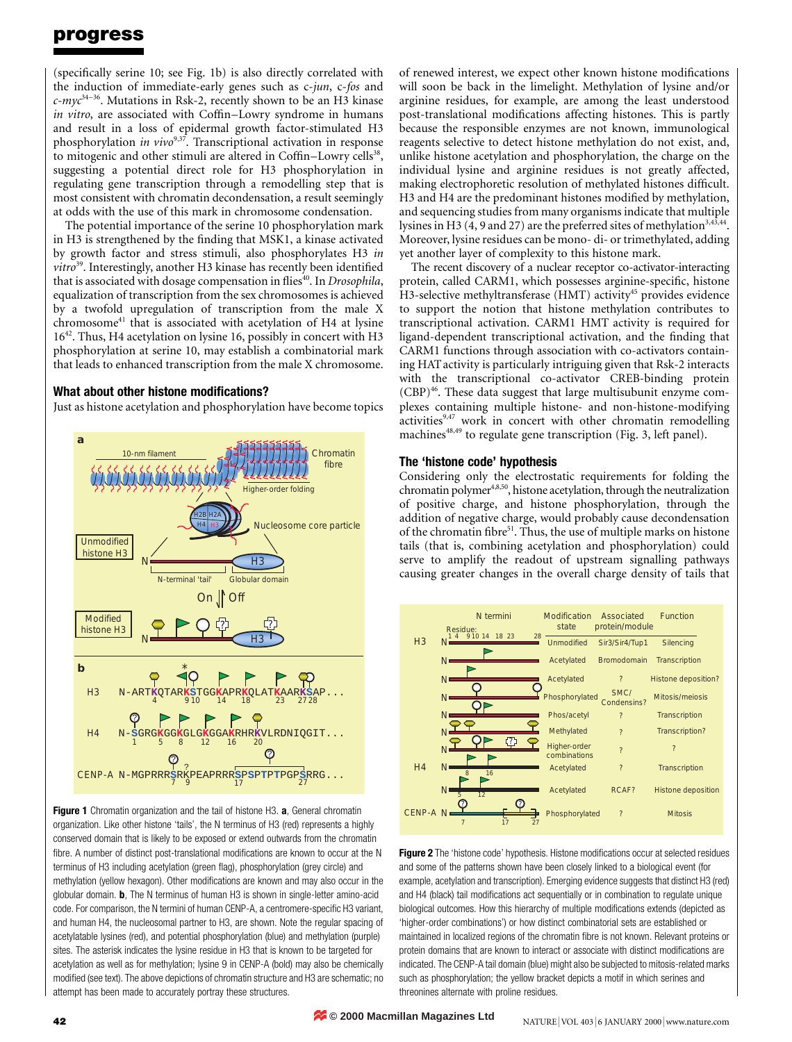# progress

(specifically serine 10; see Fig. 1b) is also directly correlated with the induction of immediate-early genes such as c-jun, c-fos and  $c$ -*myc*<sup>34-36</sup>. Mutations in Rsk-2, recently shown to be an H3 kinase in vitro, are associated with Coffin-Lowry syndrome in humans and result in a loss of epidermal growth factor-stimulated H3 phosphorylation in vivo<sup>9,37</sup>. Transcriptional activation in response to mitogenic and other stimuli are altered in Coffin–Lowry cells<sup>38</sup>, suggesting a potential direct role for H3 phosphorylation in regulating gene transcription through a remodelling step that is most consistent with chromatin decondensation, a result seemingly at odds with the use of this mark in chromosome condensation.

The potential importance of the serine 10 phosphorylation mark in H3 is strengthened by the finding that MSK1, a kinase activated by growth factor and stress stimuli, also phosphorylates H3 in  $vitro<sup>39</sup>$ . Interestingly, another H3 kinase has recently been identified that is associated with dosage compensation in flies<sup>40</sup>. In *Drosophila*, equalization of transcription from the sex chromosomes is achieved by a twofold upregulation of transcription from the male X chromosome<sup>41</sup> that is associated with acetylation of H4 at lysine 1642. Thus, H4 acetylation on lysine 16, possibly in concert with H3 phosphorylation at serine 10, may establish a combinatorial mark that leads to enhanced transcription from the male X chromosome.

## What about other histone modifications?

Just as histone acetylation and phosphorylation have become topics



Figure 1 Chromatin organization and the tail of histone H3. a, General chromatin organization. Like other histone 'tails', the N terminus of H3 (red) represents a highly conserved domain that is likely to be exposed or extend outwards from the chromatin fibre. A number of distinct post-translational modifications are known to occur at the N terminus of H3 including acetylation (green flag), phosphorylation (grey circle) and methylation (yellow hexagon). Other modifications are known and may also occur in the globular domain. **b**, The N terminus of human H3 is shown in single-letter amino-acid code. For comparison, the N termini of human CENP-A, a centromere-specific H3 variant, and human H4, the nucleosomal partner to H3, are shown. Note the regular spacing of acetylatable lysines (red), and potential phosphorylation (blue) and methylation (purple) sites. The asterisk indicates the lysine residue in H3 that is known to be targeted for acetylation as well as for methylation; lysine 9 in CENP-A (bold) may also be chemically modified (see text). The above depictions of chromatin structure and H3 are schematic; no attempt has been made to accurately portray these structures.

of renewed interest, we expect other known histone modifications will soon be back in the limelight. Methylation of lysine and/or arginine residues, for example, are among the least understood post-translational modifications affecting histones. This is partly because the responsible enzymes are not known, immunological reagents selective to detect histone methylation do not exist, and, unlike histone acetylation and phosphorylation, the charge on the individual lysine and arginine residues is not greatly affected, making electrophoretic resolution of methylated histones difficult. H<sub>3</sub> and H<sub>4</sub> are the predominant histones modified by methylation, and sequencing studies from many organisms indicate that multiple lysines in H3  $(4, 9 \text{ and } 27)$  are the preferred sites of methylation<sup>3,43,44</sup>. Moreover, lysine residues can be mono- di- or trimethylated, adding yet another layer of complexity to this histone mark.

The recent discovery of a nuclear receptor co-activator-interacting protein, called CARM1, which possesses arginine-specific, histone H3-selective methyltransferase (HMT) activity<sup>45</sup> provides evidence to support the notion that histone methylation contributes to transcriptional activation. CARM1 HMT activity is required for ligand-dependent transcriptional activation, and the finding that CARM1 functions through association with co-activators containing HAT activity is particularly intriguing given that Rsk-2 interacts with the transcriptional co-activator CREB-binding protein  $(CBP)$ <sup>46</sup>. These data suggest that large multisubunit enzyme complexes containing multiple histone- and non-histone-modifying activities<sup>9,47</sup> work in concert with other chromatin remodelling machines $48,49$  to regulate gene transcription (Fig. 3, left panel).

## The 'histone code' hypothesis

Considering only the electrostatic requirements for folding the chromatin polymer<sup>4,8,50</sup>, histone acetylation, through the neutralization of positive charge, and histone phosphorylation, through the addition of negative charge, would probably cause decondensation of the chromatin fibre<sup>51</sup>. Thus, the use of multiple marks on histone tails (that is, combining acetylation and phosphorylation) could serve to amplify the readout of upstream signalling pathways causing greater changes in the overall charge density of tails that



Figure 2 The 'histone code' hypothesis. Histone modifications occur at selected residues and some of the patterns shown have been closely linked to a biological event (for example, acetylation and transcription). Emerging evidence suggests that distinct H3 (red) and H4 (black) tail modifications act sequentially or in combination to regulate unique biological outcomes. How this hierarchy of multiple modifications extends (depicted as `higher-order combinations') or how distinct combinatorial sets are established or maintained in localized regions of the chromatin fibre is not known. Relevant proteins or protein domains that are known to interact or associate with distinct modifications are indicated. The CENP-A tail domain (blue) might also be subjected to mitosis-related marks such as phosphorylation; the yellow bracket depicts a motif in which serines and threonines alternate with proline residues.

**© 2000 Macmillan Magazines Ltd**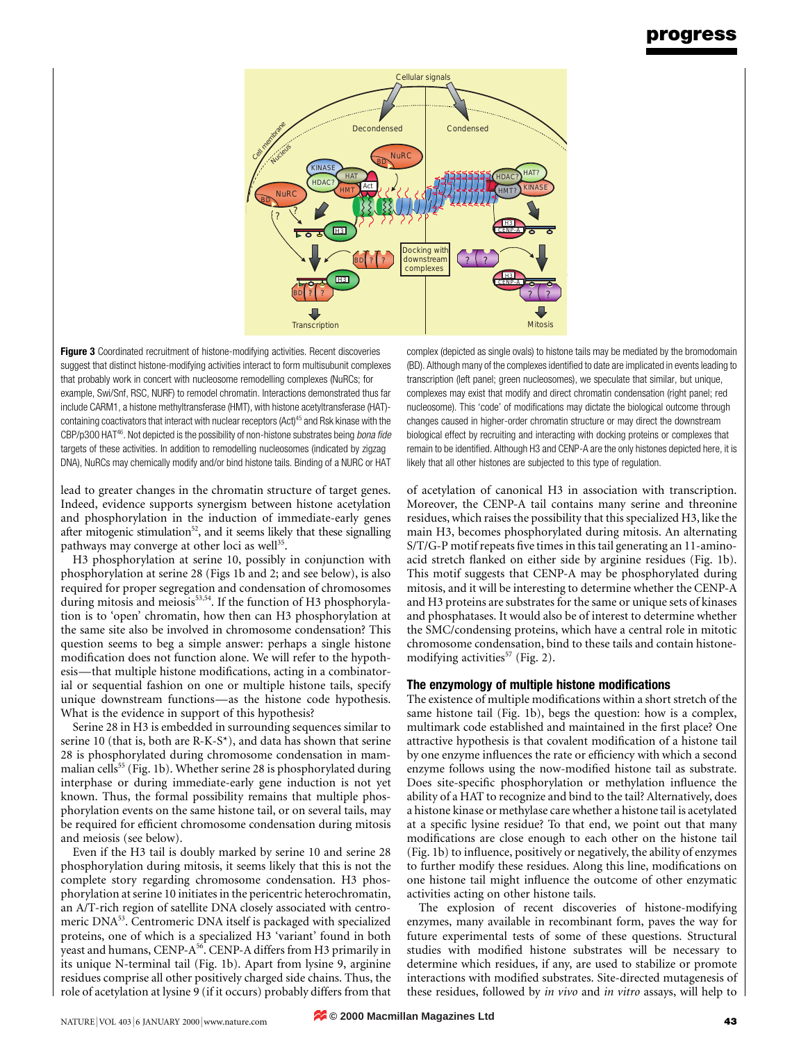# progress



Figure 3 Coordinated recruitment of histone-modifying activities. Recent discoveries suggest that distinct histone-modifying activities interact to form multisubunit complexes that probably work in concert with nucleosome remodelling complexes (NuRCs; for example, Swi/Snf, RSC, NURF) to remodel chromatin. Interactions demonstrated thus far include CARM1, a histone methyltransferase (HMT), with histone acetyltransferase (HAT) containing coactivators that interact with nuclear receptors (Act)<sup>45</sup> and Rsk kinase with the  $CBP/p300$  HAT<sup>46</sup>. Not depicted is the possibility of non-histone substrates being *bona fide* targets of these activities. In addition to remodelling nucleosomes (indicated by zigzag DNA), NuRCs may chemically modify and/or bind histone tails. Binding of a NURC or HAT

lead to greater changes in the chromatin structure of target genes. Indeed, evidence supports synergism between histone acetylation and phosphorylation in the induction of immediate-early genes after mitogenic stimulation<sup>52</sup>, and it seems likely that these signalling pathways may converge at other loci as well<sup>35</sup>.

H3 phosphorylation at serine 10, possibly in conjunction with phosphorylation at serine 28 (Figs 1b and 2; and see below), is also required for proper segregation and condensation of chromosomes during mitosis and meiosis<sup>53,54</sup>. If the function of H3 phosphorylation is to `open' chromatin, how then can H3 phosphorylation at the same site also be involved in chromosome condensation? This question seems to beg a simple answer: perhaps a single histone modification does not function alone. We will refer to the hypothesis—that multiple histone modifications, acting in a combinatorial or sequential fashion on one or multiple histone tails, specify unique downstream functions—as the histone code hypothesis. What is the evidence in support of this hypothesis?

Serine 28 in H3 is embedded in surrounding sequences similar to serine 10 (that is, both are R-K-S\*), and data has shown that serine 28 is phosphorylated during chromosome condensation in mammalian cells<sup>55</sup> (Fig. 1b). Whether serine 28 is phosphorylated during interphase or during immediate-early gene induction is not yet known. Thus, the formal possibility remains that multiple phosphorylation events on the same histone tail, or on several tails, may be required for efficient chromosome condensation during mitosis and meiosis (see below).

Even if the H3 tail is doubly marked by serine 10 and serine 28 phosphorylation during mitosis, it seems likely that this is not the complete story regarding chromosome condensation. H3 phosphorylation at serine 10 initiates in the pericentric heterochromatin, an A/T-rich region of satellite DNA closely associated with centromeric DNA<sup>53</sup>. Centromeric DNA itself is packaged with specialized proteins, one of which is a specialized H3 `variant' found in both yeast and humans, CENP-A<sup>56</sup>. CENP-A differs from H3 primarily in its unique N-terminal tail (Fig. 1b). Apart from lysine 9, arginine residues comprise all other positively charged side chains. Thus, the role of acetylation at lysine 9 (if it occurs) probably differs from that

complex (depicted as single ovals) to histone tails may be mediated by the bromodomain (BD). Although many of the complexes identified to date are implicated in events leading to transcription (left panel; green nucleosomes), we speculate that similar, but unique, complexes may exist that modify and direct chromatin condensation (right panel; red nucleosome). This 'code' of modifications may dictate the biological outcome through changes caused in higher-order chromatin structure or may direct the downstream biological effect by recruiting and interacting with docking proteins or complexes that remain to be identified. Although H3 and CENP-A are the only histones depicted here, it is likely that all other histones are subjected to this type of regulation.

of acetylation of canonical H3 in association with transcription. Moreover, the CENP-A tail contains many serine and threonine residues, which raises the possibility that this specialized H3, like the main H3, becomes phosphorylated during mitosis. An alternating S/T/G-P motif repeats five times in this tail generating an 11-aminoacid stretch flanked on either side by arginine residues (Fig. 1b). This motif suggests that CENP-A may be phosphorylated during mitosis, and it will be interesting to determine whether the CENP-A and H3 proteins are substrates for the same or unique sets of kinases and phosphatases. It would also be of interest to determine whether the SMC/condensing proteins, which have a central role in mitotic chromosome condensation, bind to these tails and contain histonemodifying activities<sup>57</sup> (Fig. 2).

## The enzymology of multiple histone modifications

The existence of multiple modifications within a short stretch of the same histone tail (Fig. 1b), begs the question: how is a complex, multimark code established and maintained in the first place? One attractive hypothesis is that covalent modification of a histone tail by one enzyme influences the rate or efficiency with which a second enzyme follows using the now-modified histone tail as substrate. Does site-specific phosphorylation or methylation influence the ability of a HAT to recognize and bind to the tail? Alternatively, does a histone kinase or methylase care whether a histone tail is acetylated at a specific lysine residue? To that end, we point out that many modifications are close enough to each other on the histone tail (Fig. 1b) to influence, positively or negatively, the ability of enzymes to further modify these residues. Along this line, modifications on one histone tail might influence the outcome of other enzymatic activities acting on other histone tails.

The explosion of recent discoveries of histone-modifying enzymes, many available in recombinant form, paves the way for future experimental tests of some of these questions. Structural studies with modified histone substrates will be necessary to determine which residues, if any, are used to stabilize or promote interactions with modified substrates. Site-directed mutagenesis of these residues, followed by in vivo and in vitro assays, will help to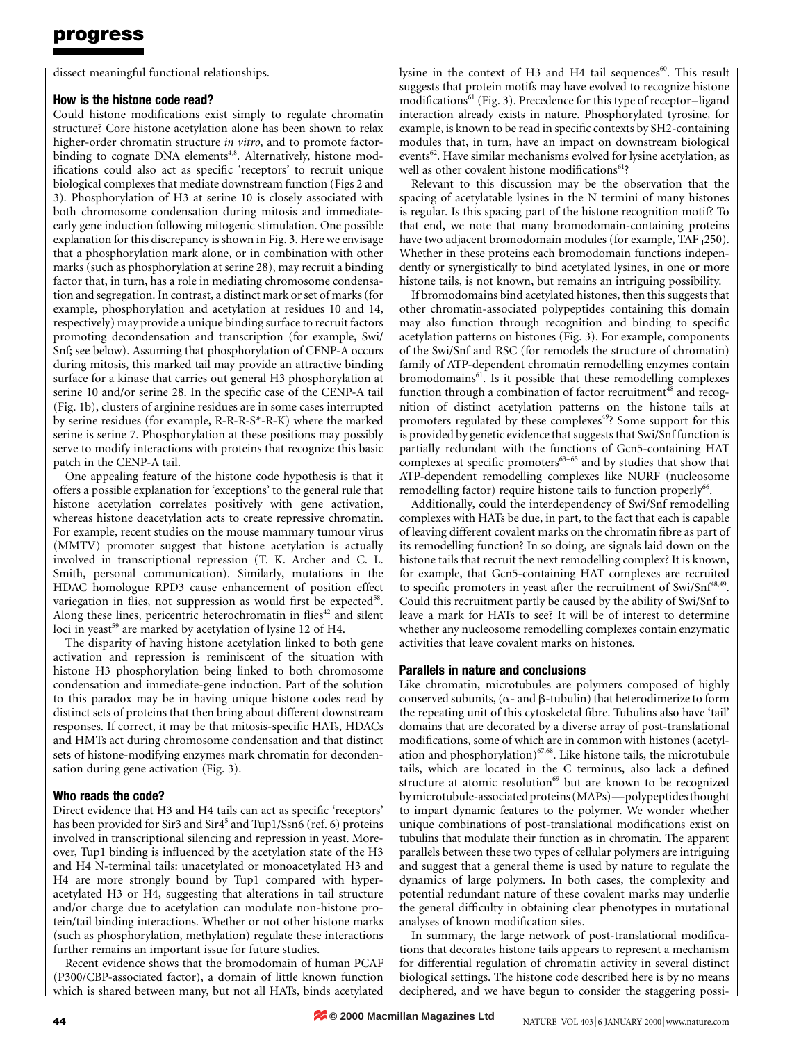# progress

dissect meaningful functional relationships.

## How is the histone code read?

Could histone modifications exist simply to regulate chromatin structure? Core histone acetylation alone has been shown to relax higher-order chromatin structure *in vitro*, and to promote factorbinding to cognate DNA elements<sup>4,8</sup>. Alternatively, histone modifications could also act as specific 'receptors' to recruit unique biological complexes that mediate downstream function (Figs 2 and 3). Phosphorylation of H3 at serine 10 is closely associated with both chromosome condensation during mitosis and immediateearly gene induction following mitogenic stimulation. One possible explanation for this discrepancy is shown in Fig. 3. Here we envisage that a phosphorylation mark alone, or in combination with other marks (such as phosphorylation at serine 28), may recruit a binding factor that, in turn, has a role in mediating chromosome condensation and segregation. In contrast, a distinct mark or set of marks (for example, phosphorylation and acetylation at residues 10 and 14, respectively) may provide a unique binding surface to recruit factors promoting decondensation and transcription (for example, Swi/ Snf; see below). Assuming that phosphorylation of CENP-A occurs during mitosis, this marked tail may provide an attractive binding surface for a kinase that carries out general H3 phosphorylation at serine 10 and/or serine 28. In the specific case of the CENP-A tail (Fig. 1b), clusters of arginine residues are in some cases interrupted by serine residues (for example, R-R-R-S\*-R-K) where the marked serine is serine 7. Phosphorylation at these positions may possibly serve to modify interactions with proteins that recognize this basic patch in the CENP-A tail.

One appealing feature of the histone code hypothesis is that it offers a possible explanation for `exceptions' to the general rule that histone acetylation correlates positively with gene activation, whereas histone deacetylation acts to create repressive chromatin. For example, recent studies on the mouse mammary tumour virus (MMTV) promoter suggest that histone acetylation is actually involved in transcriptional repression (T. K. Archer and C. L. Smith, personal communication). Similarly, mutations in the HDAC homologue RPD3 cause enhancement of position effect variegation in flies, not suppression as would first be expected<sup>58</sup>. Along these lines, pericentric heterochromatin in flies $42$  and silent loci in yeast<sup>59</sup> are marked by acetylation of lysine 12 of H4.

The disparity of having histone acetylation linked to both gene activation and repression is reminiscent of the situation with histone H3 phosphorylation being linked to both chromosome condensation and immediate-gene induction. Part of the solution to this paradox may be in having unique histone codes read by distinct sets of proteins that then bring about different downstream responses. If correct, it may be that mitosis-specific HATs, HDACs and HMTs act during chromosome condensation and that distinct sets of histone-modifying enzymes mark chromatin for decondensation during gene activation (Fig. 3).

## Who reads the code?

Direct evidence that H3 and H4 tails can act as specific 'receptors' has been provided for Sir3 and Sir4<sup>5</sup> and Tup1/Ssn6 (ref. 6) proteins involved in transcriptional silencing and repression in yeast. Moreover, Tup1 binding is influenced by the acetylation state of the H3 and H4 N-terminal tails: unacetylated or monoacetylated H3 and H4 are more strongly bound by Tup1 compared with hyperacetylated H3 or H4, suggesting that alterations in tail structure and/or charge due to acetylation can modulate non-histone protein/tail binding interactions. Whether or not other histone marks (such as phosphorylation, methylation) regulate these interactions further remains an important issue for future studies.

Recent evidence shows that the bromodomain of human PCAF (P300/CBP-associated factor), a domain of little known function which is shared between many, but not all HATs, binds acetylated lysine in the context of H3 and H4 tail sequences<sup>60</sup>. This result suggests that protein motifs may have evolved to recognize histone modifications<sup>61</sup> (Fig. 3). Precedence for this type of receptor-ligand interaction already exists in nature. Phosphorylated tyrosine, for example, is known to be read in specific contexts by SH2-containing modules that, in turn, have an impact on downstream biological events<sup>62</sup>. Have similar mechanisms evolved for lysine acetylation, as well as other covalent histone modifications<sup>61</sup>?

Relevant to this discussion may be the observation that the spacing of acetylatable lysines in the N termini of many histones is regular. Is this spacing part of the histone recognition motif? To that end, we note that many bromodomain-containing proteins have two adjacent bromodomain modules (for example,  $TAF_{II}250$ ). Whether in these proteins each bromodomain functions independently or synergistically to bind acetylated lysines, in one or more histone tails, is not known, but remains an intriguing possibility.

If bromodomains bind acetylated histones, then this suggests that other chromatin-associated polypeptides containing this domain may also function through recognition and binding to specific acetylation patterns on histones (Fig. 3). For example, components of the Swi/Snf and RSC (for remodels the structure of chromatin) family of ATP-dependent chromatin remodelling enzymes contain bromodomains<sup>61</sup>. Is it possible that these remodelling complexes function through a combination of factor recruitment<sup>48</sup> and recognition of distinct acetylation patterns on the histone tails at promoters regulated by these complexes<sup>49</sup>? Some support for this is provided by genetic evidence that suggests that Swi/Snf function is partially redundant with the functions of Gcn5-containing HAT complexes at specific promoters $63-65$  and by studies that show that ATP-dependent remodelling complexes like NURF (nucleosome remodelling factor) require histone tails to function properly<sup>66</sup>.

Additionally, could the interdependency of Swi/Snf remodelling complexes with HATs be due, in part, to the fact that each is capable of leaving different covalent marks on the chromatin fibre as part of its remodelling function? In so doing, are signals laid down on the histone tails that recruit the next remodelling complex? It is known, for example, that Gcn5-containing HAT complexes are recruited to specific promoters in yeast after the recruitment of Swi/Snf<sup>48,49</sup>. Could this recruitment partly be caused by the ability of Swi/Snf to leave a mark for HATs to see? It will be of interest to determine whether any nucleosome remodelling complexes contain enzymatic activities that leave covalent marks on histones.

## Parallels in nature and conclusions

Like chromatin, microtubules are polymers composed of highly conserved subunits, ( $\alpha$ - and  $\beta$ -tubulin) that heterodimerize to form the repeating unit of this cytoskeletal fibre. Tubulins also have 'tail' domains that are decorated by a diverse array of post-translational modifications, some of which are in common with histones (acetylation and phosphorylation)<sup>67,68</sup>. Like histone tails, the microtubule tails, which are located in the C terminus, also lack a defined structure at atomic resolution<sup>69</sup> but are known to be recognized by microtubule-associated proteins (MAPs)—polypeptides thought to impart dynamic features to the polymer. We wonder whether unique combinations of post-translational modifications exist on tubulins that modulate their function as in chromatin. The apparent parallels between these two types of cellular polymers are intriguing and suggest that a general theme is used by nature to regulate the dynamics of large polymers. In both cases, the complexity and potential redundant nature of these covalent marks may underlie the general difficulty in obtaining clear phenotypes in mutational analyses of known modification sites.

In summary, the large network of post-translational modifications that decorates histone tails appears to represent a mechanism for differential regulation of chromatin activity in several distinct biological settings. The histone code described here is by no means deciphered, and we have begun to consider the staggering possi-